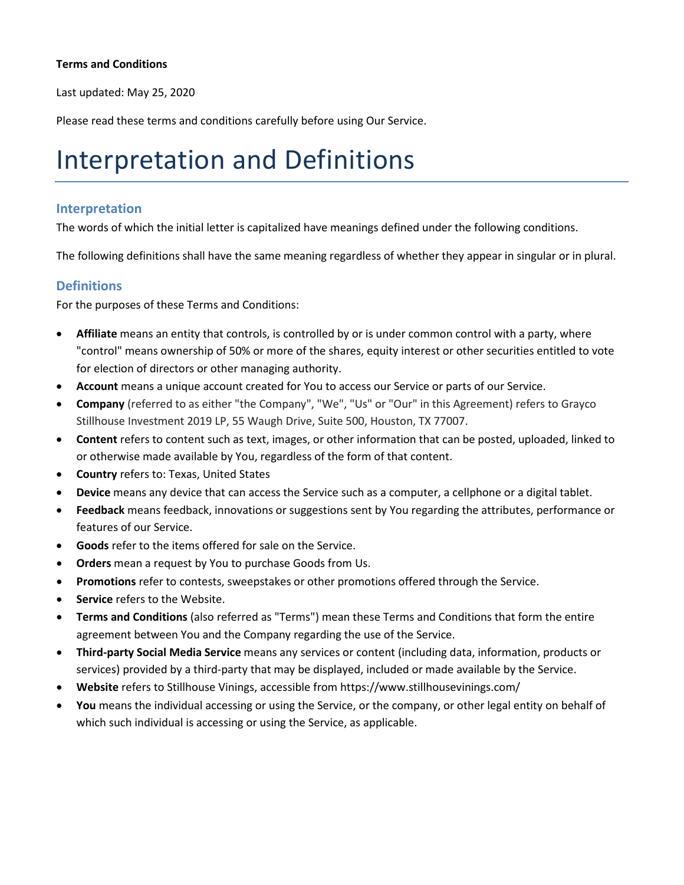#### **Terms and Conditions**

Last updated: May 25, 2020

Please read these terms and conditions carefully before using Our Service.

#### Interpretation and Definitions

#### **Interpretation**

The words of which the initial letter is capitalized have meanings defined under the following conditions.

The following definitions shall have the same meaning regardless of whether they appear in singular or in plural.

#### **Definitions**

For the purposes of these Terms and Conditions:

- **Affiliate** means an entity that controls, is controlled by or is under common control with a party, where "control" means ownership of 50% or more of the shares, equity interest or other securities entitled to vote for election of directors or other managing authority.
- **Account** means a unique account created for You to access our Service or parts of our Service.
- **Company** (referred to as either "the Company", "We", "Us" or "Our" in this Agreement) refers to Grayco Stillhouse Investment 2019 LP, 55 Waugh Drive, Suite 500, Houston, TX 77007.
- **Content** refers to content such as text, images, or other information that can be posted, uploaded, linked to or otherwise made available by You, regardless of the form of that content.
- **Country** refers to: Texas, United States
- **Device** means any device that can access the Service such as a computer, a cellphone or a digital tablet.
- **Feedback** means feedback, innovations or suggestions sent by You regarding the attributes, performance or features of our Service.
- **Goods** refer to the items offered for sale on the Service.
- **Orders** mean a request by You to purchase Goods from Us.
- **Promotions** refer to contests, sweepstakes or other promotions offered through the Service.
- **Service** refers to the Website.
- **Terms and Conditions** (also referred as "Terms") mean these Terms and Conditions that form the entire agreement between You and the Company regarding the use of the Service.
- **Third-party Social Media Service** means any services or content (including data, information, products or services) provided by a third-party that may be displayed, included or made available by the Service.
- **Website** refers to Stillhouse Vinings, accessible from https://www.stillhousevinings.com/
- **You** means the individual accessing or using the Service, or the company, or other legal entity on behalf of which such individual is accessing or using the Service, as applicable.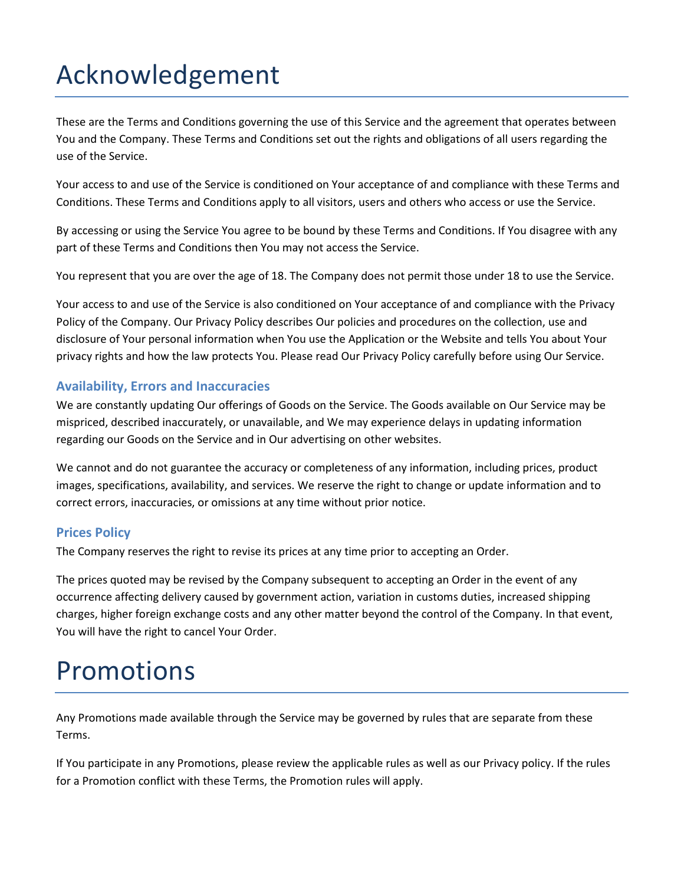# Acknowledgement

These are the Terms and Conditions governing the use of this Service and the agreement that operates between You and the Company. These Terms and Conditions set out the rights and obligations of all users regarding the use of the Service.

Your access to and use of the Service is conditioned on Your acceptance of and compliance with these Terms and Conditions. These Terms and Conditions apply to all visitors, users and others who access or use the Service.

By accessing or using the Service You agree to be bound by these Terms and Conditions. If You disagree with any part of these Terms and Conditions then You may not access the Service.

You represent that you are over the age of 18. The Company does not permit those under 18 to use the Service.

Your access to and use of the Service is also conditioned on Your acceptance of and compliance with the Privacy Policy of the Company. Our Privacy Policy describes Our policies and procedures on the collection, use and disclosure of Your personal information when You use the Application or the Website and tells You about Your privacy rights and how the law protects You. Please read Our Privacy Policy carefully before using Our Service.

#### **Availability, Errors and Inaccuracies**

We are constantly updating Our offerings of Goods on the Service. The Goods available on Our Service may be mispriced, described inaccurately, or unavailable, and We may experience delays in updating information regarding our Goods on the Service and in Our advertising on other websites.

We cannot and do not guarantee the accuracy or completeness of any information, including prices, product images, specifications, availability, and services. We reserve the right to change or update information and to correct errors, inaccuracies, or omissions at any time without prior notice.

#### **Prices Policy**

The Company reserves the right to revise its prices at any time prior to accepting an Order.

The prices quoted may be revised by the Company subsequent to accepting an Order in the event of any occurrence affecting delivery caused by government action, variation in customs duties, increased shipping charges, higher foreign exchange costs and any other matter beyond the control of the Company. In that event, You will have the right to cancel Your Order.

#### Promotions

Any Promotions made available through the Service may be governed by rules that are separate from these Terms.

If You participate in any Promotions, please review the applicable rules as well as our Privacy policy. If the rules for a Promotion conflict with these Terms, the Promotion rules will apply.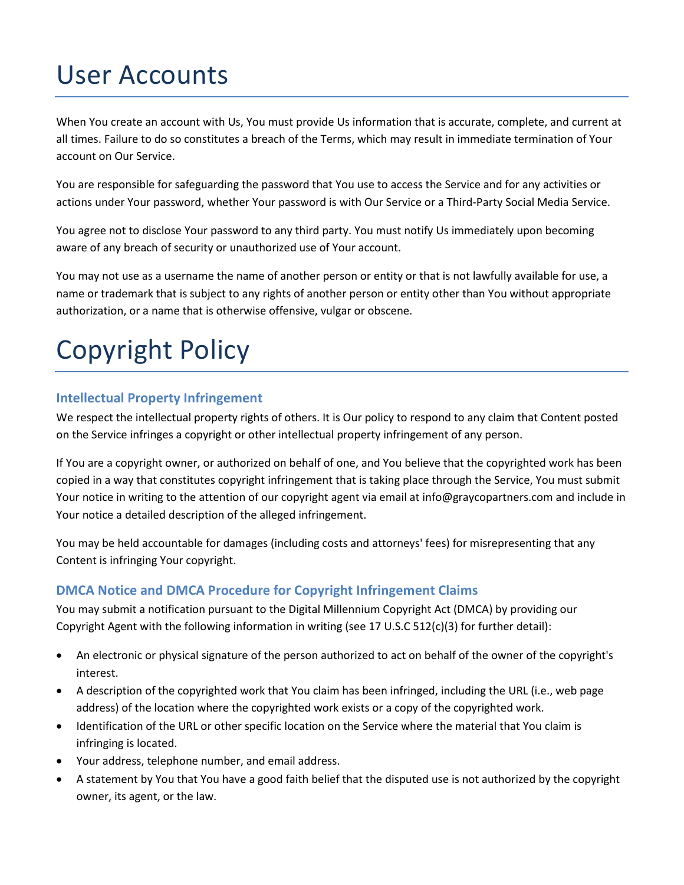### User Accounts

When You create an account with Us, You must provide Us information that is accurate, complete, and current at all times. Failure to do so constitutes a breach of the Terms, which may result in immediate termination of Your account on Our Service.

You are responsible for safeguarding the password that You use to access the Service and for any activities or actions under Your password, whether Your password is with Our Service or a Third-Party Social Media Service.

You agree not to disclose Your password to any third party. You must notify Us immediately upon becoming aware of any breach of security or unauthorized use of Your account.

You may not use as a username the name of another person or entity or that is not lawfully available for use, a name or trademark that is subject to any rights of another person or entity other than You without appropriate authorization, or a name that is otherwise offensive, vulgar or obscene.

# Copyright Policy

#### **Intellectual Property Infringement**

We respect the intellectual property rights of others. It is Our policy to respond to any claim that Content posted on the Service infringes a copyright or other intellectual property infringement of any person.

If You are a copyright owner, or authorized on behalf of one, and You believe that the copyrighted work has been copied in a way that constitutes copyright infringement that is taking place through the Service, You must submit Your notice in writing to the attention of our copyright agent via email at info@graycopartners.com and include in Your notice a detailed description of the alleged infringement.

You may be held accountable for damages (including costs and attorneys' fees) for misrepresenting that any Content is infringing Your copyright.

#### **DMCA Notice and DMCA Procedure for Copyright Infringement Claims**

You may submit a notification pursuant to the Digital Millennium Copyright Act (DMCA) by providing our Copyright Agent with the following information in writing (see 17 U.S.C 512(c)(3) for further detail):

- An electronic or physical signature of the person authorized to act on behalf of the owner of the copyright's interest.
- A description of the copyrighted work that You claim has been infringed, including the URL (i.e., web page address) of the location where the copyrighted work exists or a copy of the copyrighted work.
- Identification of the URL or other specific location on the Service where the material that You claim is infringing is located.
- Your address, telephone number, and email address.
- A statement by You that You have a good faith belief that the disputed use is not authorized by the copyright owner, its agent, or the law.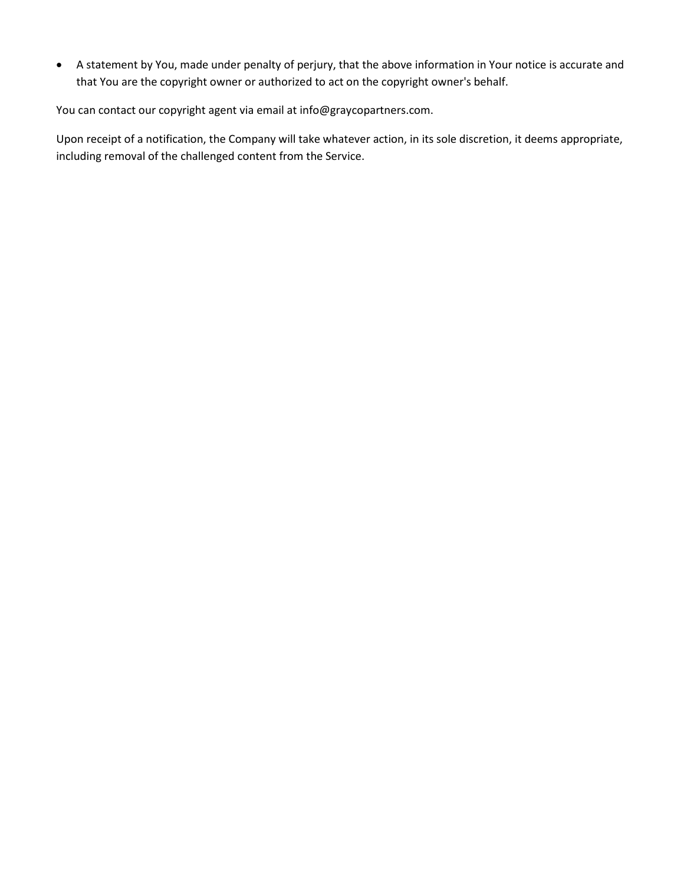• A statement by You, made under penalty of perjury, that the above information in Your notice is accurate and that You are the copyright owner or authorized to act on the copyright owner's behalf.

You can contact our copyright agent via email at info@graycopartners.com.

Upon receipt of a notification, the Company will take whatever action, in its sole discretion, it deems appropriate, including removal of the challenged content from the Service.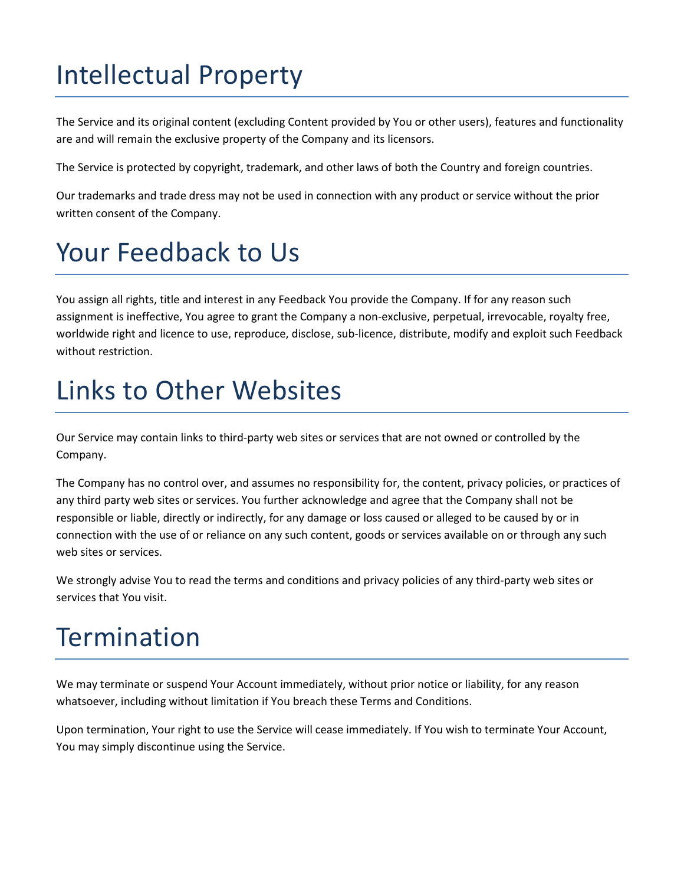## Intellectual Property

The Service and its original content (excluding Content provided by You or other users), features and functionality are and will remain the exclusive property of the Company and its licensors.

The Service is protected by copyright, trademark, and other laws of both the Country and foreign countries.

Our trademarks and trade dress may not be used in connection with any product or service without the prior written consent of the Company.

### Your Feedback to Us

You assign all rights, title and interest in any Feedback You provide the Company. If for any reason such assignment is ineffective, You agree to grant the Company a non-exclusive, perpetual, irrevocable, royalty free, worldwide right and licence to use, reproduce, disclose, sub-licence, distribute, modify and exploit such Feedback without restriction.

#### Links to Other Websites

Our Service may contain links to third-party web sites or services that are not owned or controlled by the Company.

The Company has no control over, and assumes no responsibility for, the content, privacy policies, or practices of any third party web sites or services. You further acknowledge and agree that the Company shall not be responsible or liable, directly or indirectly, for any damage or loss caused or alleged to be caused by or in connection with the use of or reliance on any such content, goods or services available on or through any such web sites or services.

We strongly advise You to read the terms and conditions and privacy policies of any third-party web sites or services that You visit.

### **Termination**

We may terminate or suspend Your Account immediately, without prior notice or liability, for any reason whatsoever, including without limitation if You breach these Terms and Conditions.

Upon termination, Your right to use the Service will cease immediately. If You wish to terminate Your Account, You may simply discontinue using the Service.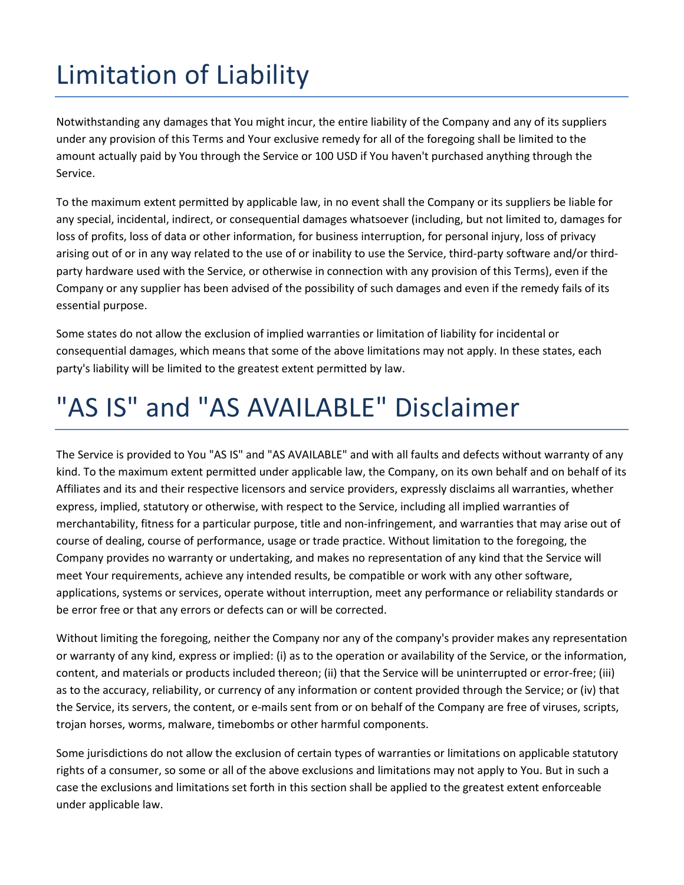# Limitation of Liability

Notwithstanding any damages that You might incur, the entire liability of the Company and any of its suppliers under any provision of this Terms and Your exclusive remedy for all of the foregoing shall be limited to the amount actually paid by You through the Service or 100 USD if You haven't purchased anything through the Service.

To the maximum extent permitted by applicable law, in no event shall the Company or its suppliers be liable for any special, incidental, indirect, or consequential damages whatsoever (including, but not limited to, damages for loss of profits, loss of data or other information, for business interruption, for personal injury, loss of privacy arising out of or in any way related to the use of or inability to use the Service, third-party software and/or thirdparty hardware used with the Service, or otherwise in connection with any provision of this Terms), even if the Company or any supplier has been advised of the possibility of such damages and even if the remedy fails of its essential purpose.

Some states do not allow the exclusion of implied warranties or limitation of liability for incidental or consequential damages, which means that some of the above limitations may not apply. In these states, each party's liability will be limited to the greatest extent permitted by law.

## "AS IS" and "AS AVAILABLE" Disclaimer

The Service is provided to You "AS IS" and "AS AVAILABLE" and with all faults and defects without warranty of any kind. To the maximum extent permitted under applicable law, the Company, on its own behalf and on behalf of its Affiliates and its and their respective licensors and service providers, expressly disclaims all warranties, whether express, implied, statutory or otherwise, with respect to the Service, including all implied warranties of merchantability, fitness for a particular purpose, title and non-infringement, and warranties that may arise out of course of dealing, course of performance, usage or trade practice. Without limitation to the foregoing, the Company provides no warranty or undertaking, and makes no representation of any kind that the Service will meet Your requirements, achieve any intended results, be compatible or work with any other software, applications, systems or services, operate without interruption, meet any performance or reliability standards or be error free or that any errors or defects can or will be corrected.

Without limiting the foregoing, neither the Company nor any of the company's provider makes any representation or warranty of any kind, express or implied: (i) as to the operation or availability of the Service, or the information, content, and materials or products included thereon; (ii) that the Service will be uninterrupted or error-free; (iii) as to the accuracy, reliability, or currency of any information or content provided through the Service; or (iv) that the Service, its servers, the content, or e-mails sent from or on behalf of the Company are free of viruses, scripts, trojan horses, worms, malware, timebombs or other harmful components.

Some jurisdictions do not allow the exclusion of certain types of warranties or limitations on applicable statutory rights of a consumer, so some or all of the above exclusions and limitations may not apply to You. But in such a case the exclusions and limitations set forth in this section shall be applied to the greatest extent enforceable under applicable law.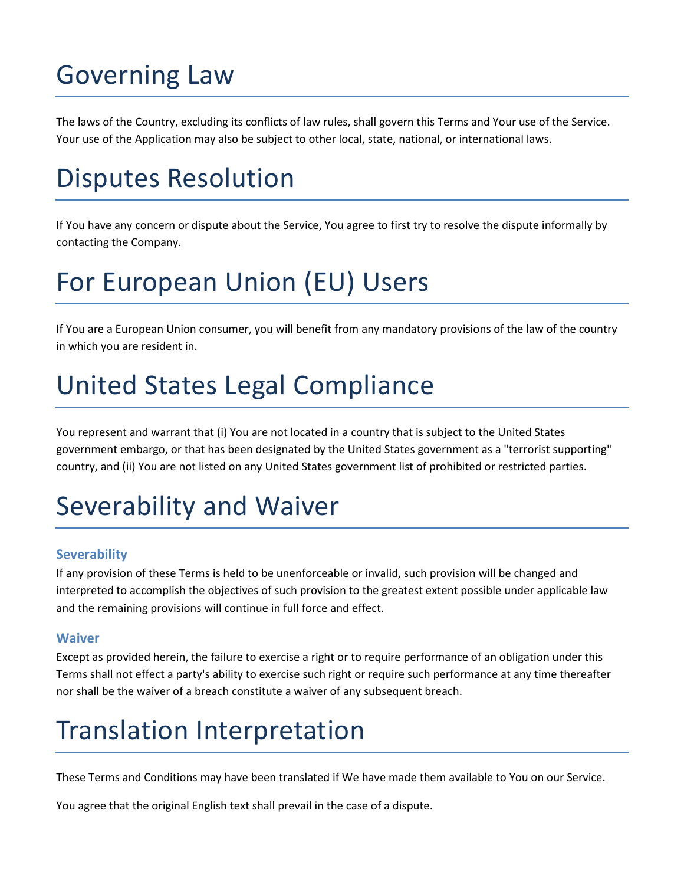### Governing Law

The laws of the Country, excluding its conflicts of law rules, shall govern this Terms and Your use of the Service. Your use of the Application may also be subject to other local, state, national, or international laws.

### Disputes Resolution

If You have any concern or dispute about the Service, You agree to first try to resolve the dispute informally by contacting the Company.

## For European Union (EU) Users

If You are a European Union consumer, you will benefit from any mandatory provisions of the law of the country in which you are resident in.

### United States Legal Compliance

You represent and warrant that (i) You are not located in a country that is subject to the United States government embargo, or that has been designated by the United States government as a "terrorist supporting" country, and (ii) You are not listed on any United States government list of prohibited or restricted parties.

### Severability and Waiver

#### **Severability**

If any provision of these Terms is held to be unenforceable or invalid, such provision will be changed and interpreted to accomplish the objectives of such provision to the greatest extent possible under applicable law and the remaining provisions will continue in full force and effect.

#### **Waiver**

Except as provided herein, the failure to exercise a right or to require performance of an obligation under this Terms shall not effect a party's ability to exercise such right or require such performance at any time thereafter nor shall be the waiver of a breach constitute a waiver of any subsequent breach.

### Translation Interpretation

These Terms and Conditions may have been translated if We have made them available to You on our Service.

You agree that the original English text shall prevail in the case of a dispute.